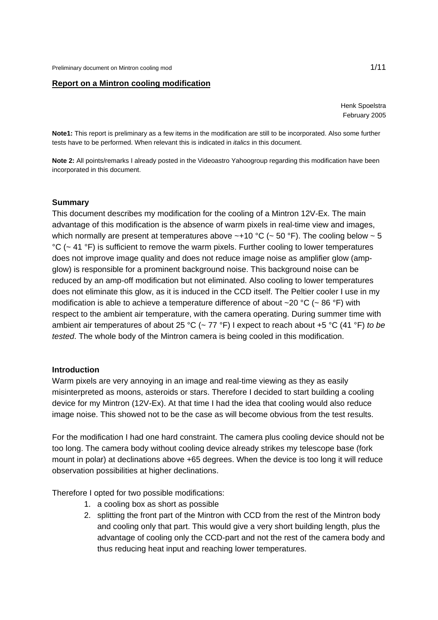#### **Report on a Mintron cooling modification**

Henk Spoelstra February 2005

**Note1:** This report is preliminary as a few items in the modification are still to be incorporated. Also some further tests have to be performed. When relevant this is indicated in *italics* in this document.

**Note 2:** All points/remarks I already posted in the Videoastro Yahoogroup regarding this modification have been incorporated in this document.

#### **Summary**

This document describes my modification for the cooling of a Mintron 12V-Ex. The main advantage of this modification is the absence of warm pixels in real-time view and images, which normally are present at temperatures above  $\sim$ +10 °C ( $\sim$  50 °F). The cooling below  $\sim$  5  $°C$  ( $\sim$  41 °F) is sufficient to remove the warm pixels. Further cooling to lower temperatures does not improve image quality and does not reduce image noise as amplifier glow (ampglow) is responsible for a prominent background noise. This background noise can be reduced by an amp-off modification but not eliminated. Also cooling to lower temperatures does not eliminate this glow, as it is induced in the CCD itself. The Peltier cooler I use in my modification is able to achieve a temperature difference of about  $\sim$  20 °C ( $\sim$  86 °F) with respect to the ambient air temperature, with the camera operating. During summer time with ambient air temperatures of about 25 °C (~ 77 °F) I expect to reach about +5 °C (41 °F) *to be tested*. The whole body of the Mintron camera is being cooled in this modification.

#### **Introduction**

Warm pixels are very annoying in an image and real-time viewing as they as easily misinterpreted as moons, asteroids or stars. Therefore I decided to start building a cooling device for my Mintron (12V-Ex). At that time I had the idea that cooling would also reduce image noise. This showed not to be the case as will become obvious from the test results.

For the modification I had one hard constraint. The camera plus cooling device should not be too long. The camera body without cooling device already strikes my telescope base (fork mount in polar) at declinations above +65 degrees. When the device is too long it will reduce observation possibilities at higher declinations.

Therefore I opted for two possible modifications:

- 1. a cooling box as short as possible
- 2. splitting the front part of the Mintron with CCD from the rest of the Mintron body and cooling only that part. This would give a very short building length, plus the advantage of cooling only the CCD-part and not the rest of the camera body and thus reducing heat input and reaching lower temperatures.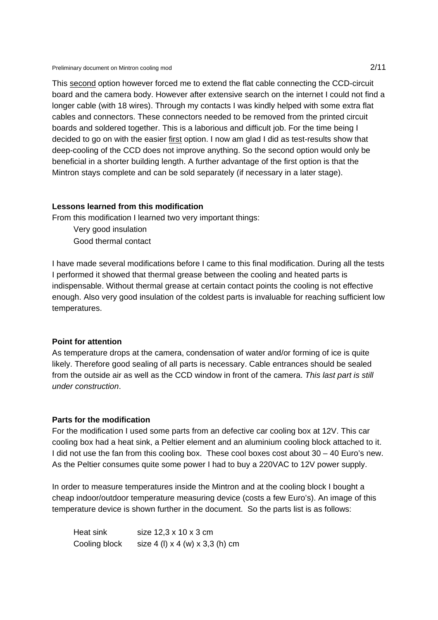Preliminary document on Mintron cooling mod<br>
2/11

This second option however forced me to extend the flat cable connecting the CCD-circuit board and the camera body. However after extensive search on the internet I could not find a longer cable (with 18 wires). Through my contacts I was kindly helped with some extra flat cables and connectors. These connectors needed to be removed from the printed circuit boards and soldered together. This is a laborious and difficult job. For the time being I decided to go on with the easier first option. I now am glad I did as test-results show that deep-cooling of the CCD does not improve anything. So the second option would only be beneficial in a shorter building length. A further advantage of the first option is that the Mintron stays complete and can be sold separately (if necessary in a later stage).

## **Lessons learned from this modification**

From this modification I learned two very important things:

 Very good insulation Good thermal contact

I have made several modifications before I came to this final modification. During all the tests I performed it showed that thermal grease between the cooling and heated parts is indispensable. Without thermal grease at certain contact points the cooling is not effective enough. Also very good insulation of the coldest parts is invaluable for reaching sufficient low temperatures.

#### **Point for attention**

As temperature drops at the camera, condensation of water and/or forming of ice is quite likely. Therefore good sealing of all parts is necessary. Cable entrances should be sealed from the outside air as well as the CCD window in front of the camera. *This last part is still under construction*.

#### **Parts for the modification**

For the modification I used some parts from an defective car cooling box at 12V. This car cooling box had a heat sink, a Peltier element and an aluminium cooling block attached to it. I did not use the fan from this cooling box. These cool boxes cost about 30 – 40 Euro's new. As the Peltier consumes quite some power I had to buy a 220VAC to 12V power supply.

In order to measure temperatures inside the Mintron and at the cooling block I bought a cheap indoor/outdoor temperature measuring device (costs a few Euro's). An image of this temperature device is shown further in the document. So the parts list is as follows:

Heat sink size  $12.3 \times 10 \times 3$  cm Cooling block size 4 (l)  $\times$  4 (w)  $\times$  3.3 (h) cm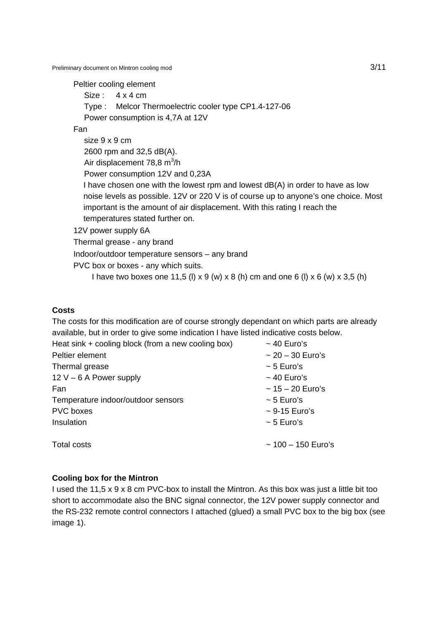Preliminary document on Mintron cooling mod<br>
3/11

Peltier cooling element

Size:  $4 \times 4$  cm Type : Melcor Thermoelectric cooler type CP1.4-127-06 Power consumption is 4,7A at 12V Fan size 9 x 9 cm 2600 rpm and 32,5 dB(A). Air displacement 78,8 m<sup>3</sup>/h Power consumption 12V and 0,23A I have chosen one with the lowest rpm and lowest dB(A) in order to have as low noise levels as possible. 12V or 220 V is of course up to anyone's one choice. Most important is the amount of air displacement. With this rating I reach the temperatures stated further on. 12V power supply 6A Thermal grease - any brand Indoor/outdoor temperature sensors – any brand PVC box or boxes - any which suits.

I have two boxes one 11,5 (I) x 9 (w) x 8 (h) cm and one 6 (I) x 6 (w) x 3,5 (h)

### **Costs**

The costs for this modification are of course strongly dependant on which parts are already available, but in order to give some indication I have listed indicative costs below. Heat sink + cooling block (from a new cooling box)  $\sim$  40 Euro's Peltier element  $\sim$  20 – 30 Euro's

Thermal grease  $\sim$  5 Euro's  $12 \text{ V} - 6 \text{ A}$  Power supply  $\sim 40 \text{ Euro's}$  $\epsilon$  = Fan  $\sim$  15 – 20 Euro's Temperature indoor/outdoor sensors ~ 5 Euro's PVC boxes  $\sim$  9-15 Euro's  $\sim$  5 Euro's

Total costs  $\sim$  100 – 150 Euro's

### **Cooling box for the Mintron**

I used the 11,5 x 9 x 8 cm PVC-box to install the Mintron. As this box was just a little bit too short to accommodate also the BNC signal connector, the 12V power supply connector and the RS-232 remote control connectors I attached (glued) a small PVC box to the big box (see image 1).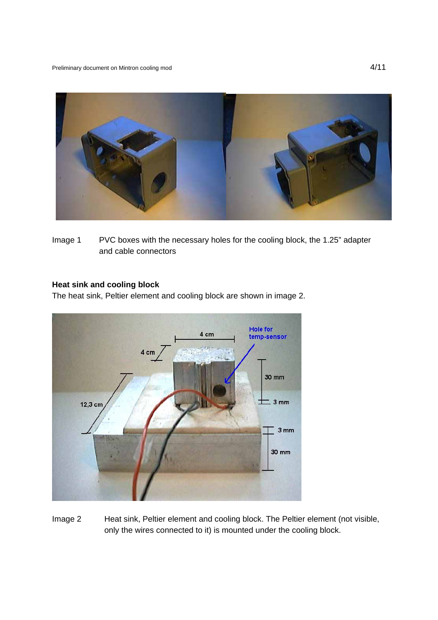

Image 1 PVC boxes with the necessary holes for the cooling block, the 1.25" adapter and cable connectors

### **Heat sink and cooling block**

The heat sink, Peltier element and cooling block are shown in image 2.



Image 2 Heat sink, Peltier element and cooling block. The Peltier element (not visible, only the wires connected to it) is mounted under the cooling block.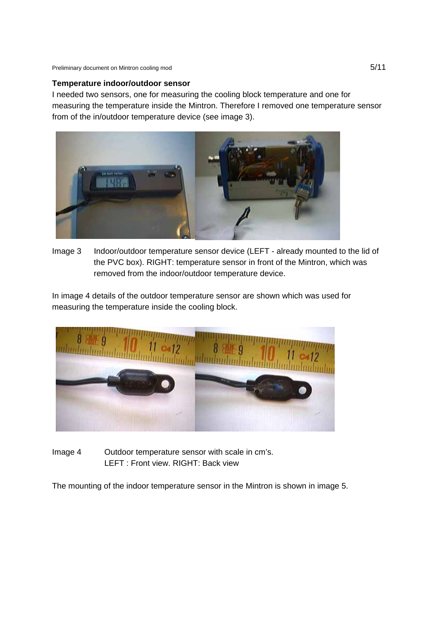Preliminary document on Mintron cooling mod<br>
5/11

#### **Temperature indoor/outdoor sensor**

I needed two sensors, one for measuring the cooling block temperature and one for measuring the temperature inside the Mintron. Therefore I removed one temperature sensor from of the in/outdoor temperature device (see image 3).



Image 3 Indoor/outdoor temperature sensor device (LEFT - already mounted to the lid of the PVC box). RIGHT: temperature sensor in front of the Mintron, which was removed from the indoor/outdoor temperature device.

In image 4 details of the outdoor temperature sensor are shown which was used for measuring the temperature inside the cooling block.

| And material indication | doubodratudadantadantaday |
|-------------------------|---------------------------|
|                         |                           |
|                         |                           |

Image 4 Outdoor temperature sensor with scale in cm's. LEFT : Front view. RIGHT: Back view

The mounting of the indoor temperature sensor in the Mintron is shown in image 5.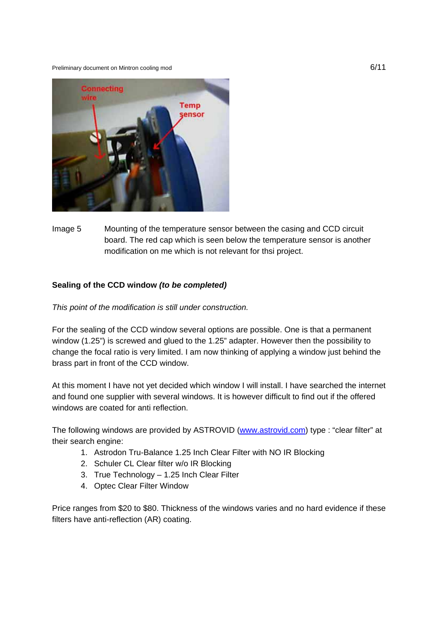Preliminary document on Mintron cooling mod<br>
6/11



Image 5 Mounting of the temperature sensor between the casing and CCD circuit board. The red cap which is seen below the temperature sensor is another modification on me which is not relevant for thsi project.

### **Sealing of the CCD window** *(to be completed)*

### *This point of the modification is still under construction.*

For the sealing of the CCD window several options are possible. One is that a permanent window (1.25") is screwed and glued to the 1.25" adapter. However then the possibility to change the focal ratio is very limited. I am now thinking of applying a window just behind the brass part in front of the CCD window.

At this moment I have not yet decided which window I will install. I have searched the internet and found one supplier with several windows. It is however difficult to find out if the offered windows are coated for anti reflection.

The following windows are provided by ASTROVID (www.astrovid.com) type : "clear filter" at their search engine:

- 1. Astrodon Tru-Balance 1.25 Inch Clear Filter with NO IR Blocking
- 2. Schuler CL Clear filter w/o IR Blocking
- 3. True Technology 1.25 Inch Clear Filter
- 4. Optec Clear Filter Window

Price ranges from \$20 to \$80. Thickness of the windows varies and no hard evidence if these filters have anti-reflection (AR) coating.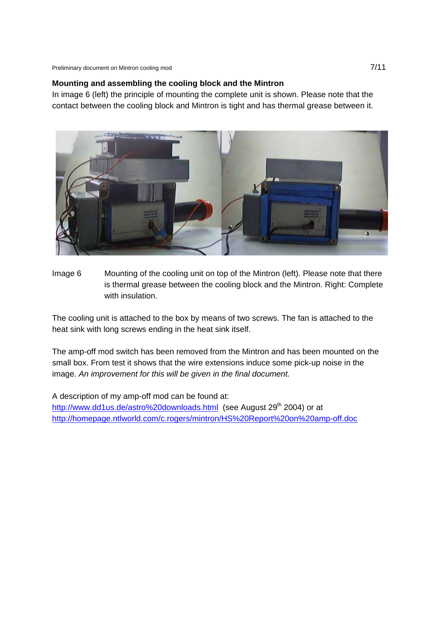Preliminary document on Mintron cooling mod<br>
2/11

# **Mounting and assembling the cooling block and the Mintron**

In image 6 (left) the principle of mounting the complete unit is shown. Please note that the contact between the cooling block and Mintron is tight and has thermal grease between it.



Image 6 Mounting of the cooling unit on top of the Mintron (left). Please note that there is thermal grease between the cooling block and the Mintron. Right: Complete with insulation.

The cooling unit is attached to the box by means of two screws. The fan is attached to the heat sink with long screws ending in the heat sink itself.

The amp-off mod switch has been removed from the Mintron and has been mounted on the small box. From test it shows that the wire extensions induce some pick-up noise in the image. *An improvement for this will be given in the final document.* 

A description of my amp-off mod can be found at: http://www.dd1us.de/astro%20downloads.html (see August 29<sup>th</sup> 2004) or at http://homepage.ntlworld.com/c.rogers/mintron/HS%20Report%20on%20amp-off.doc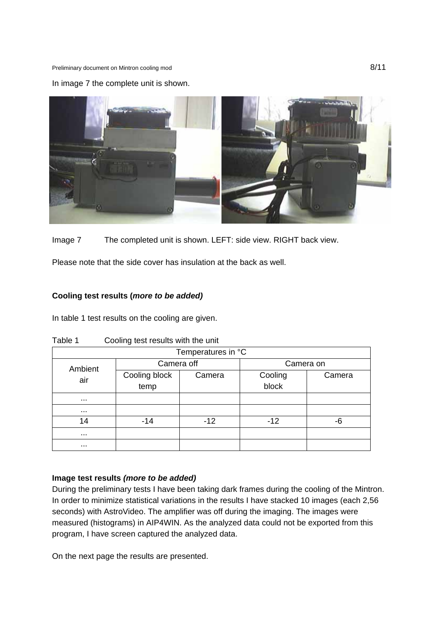Preliminary document on Mintron cooling mod<br>
8/11

### In image 7 the complete unit is shown.



Image 7 The completed unit is shown. LEFT: side view. RIGHT back view.

Please note that the side cover has insulation at the back as well.

### **Cooling test results (***more to be added)*

In table 1 test results on the cooling are given.

| Temperatures in °C   |               |        |           |        |
|----------------------|---------------|--------|-----------|--------|
| Ambient<br>air       | Camera off    |        | Camera on |        |
|                      | Cooling block | Camera | Cooling   | Camera |
|                      | temp          |        | block     |        |
| $\cdots$             |               |        |           |        |
| $\cdots$             |               |        |           |        |
| 14                   | $-14$         | $-12$  | $-12$     | -6     |
| $\cdots$             |               |        |           |        |
| $\sim$ $\sim$ $\sim$ |               |        |           |        |

Table 1 Cooling test results with the unit

### **Image test results** *(more to be added)*

During the preliminary tests I have been taking dark frames during the cooling of the Mintron. In order to minimize statistical variations in the results I have stacked 10 images (each 2,56 seconds) with AstroVideo. The amplifier was off during the imaging. The images were measured (histograms) in AIP4WIN. As the analyzed data could not be exported from this program, I have screen captured the analyzed data.

On the next page the results are presented.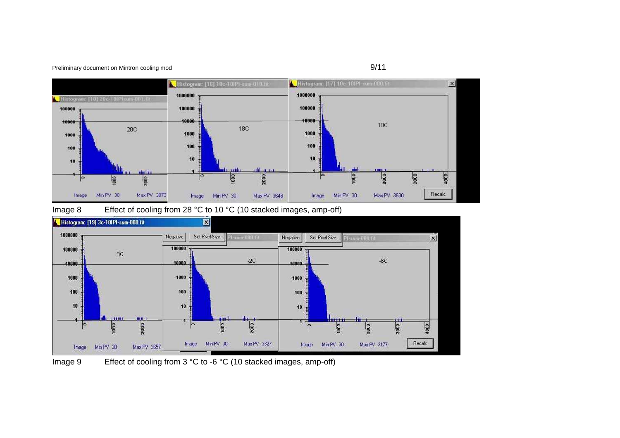Preliminary document on Mintron cooling mod<br>
9/11



# Image 8 Effect of cooling from 28 °C to 10 °C (10 stacked images, amp-off)



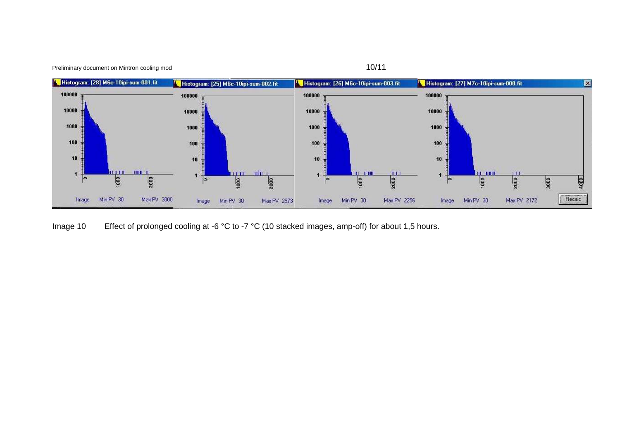

Image 10 Effect of prolonged cooling at -6 °C to -7 °C (10 stacked images, amp-off) for about 1,5 hours.